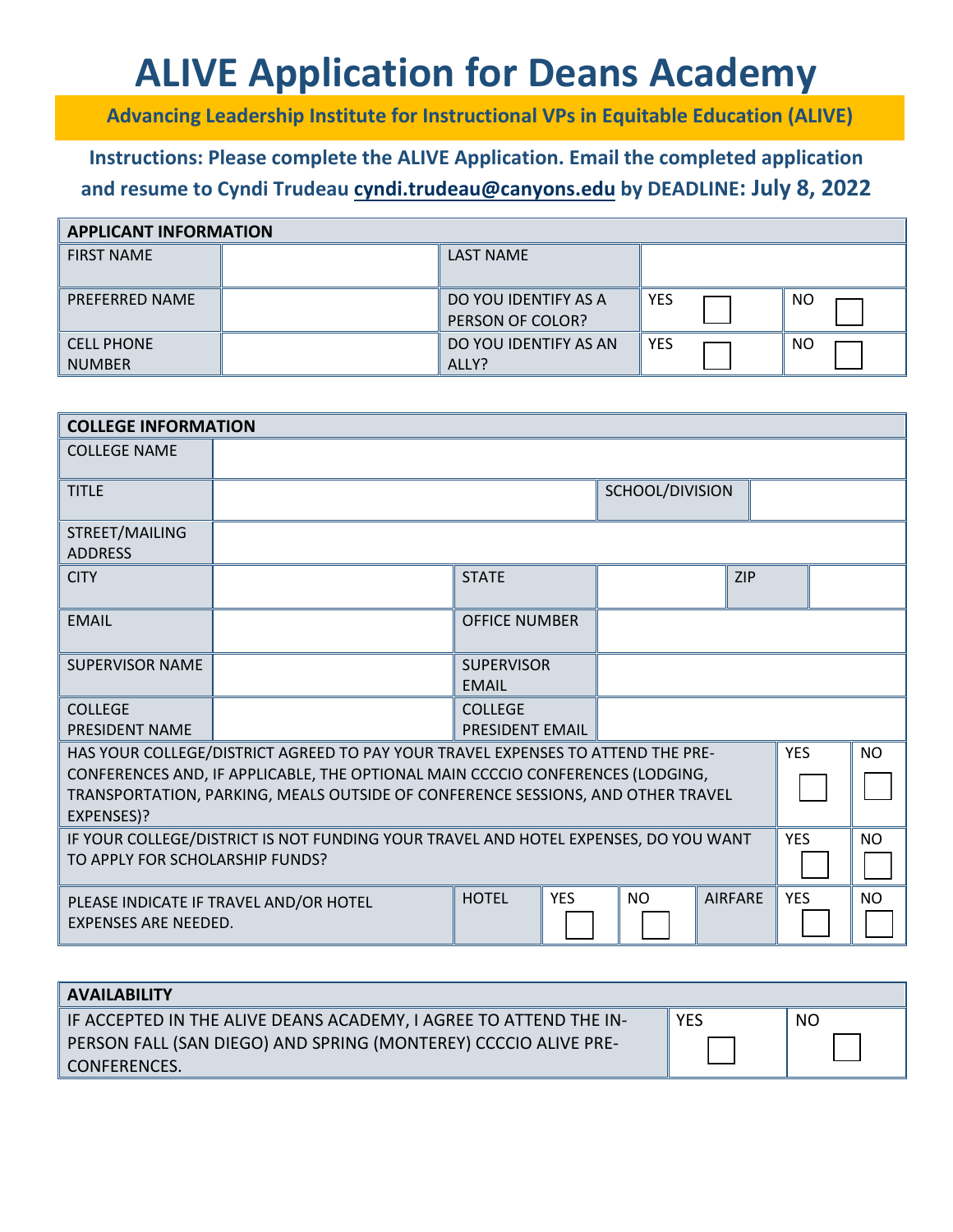# **ALIVE Application for Deans Academy**

**Advancing Leadership Institute for Instructional VPs in Equitable Education (ALIVE)**

## **Instructions: Please complete the ALIVE Application. Email the completed application and resume to Cyndi Trudeau cyndi.t[rudeau@canyons.ed](mailto:cyndi.trudeau@canyons.edu)u by DEADLINE: July 8, 2022**

| <b>APPLICANT INFORMATION</b>       |  |                                          |            |     |  |  |  |
|------------------------------------|--|------------------------------------------|------------|-----|--|--|--|
| <b>FIRST NAME</b>                  |  | <b>LAST NAME</b>                         |            |     |  |  |  |
| PREFERRED NAME                     |  | DO YOU IDENTIFY AS A<br>PERSON OF COLOR? | <b>YES</b> | NO. |  |  |  |
| <b>CELL PHONE</b><br><b>NUMBER</b> |  | DO YOU IDENTIFY AS AN<br>ALLY?           | <b>YES</b> | NO. |  |  |  |

| <b>COLLEGE INFORMATION</b>                                                                                                                                                                                                                                         |                                        |                                          |            |                 |           |                |            |           |           |
|--------------------------------------------------------------------------------------------------------------------------------------------------------------------------------------------------------------------------------------------------------------------|----------------------------------------|------------------------------------------|------------|-----------------|-----------|----------------|------------|-----------|-----------|
| <b>COLLEGE NAME</b>                                                                                                                                                                                                                                                |                                        |                                          |            |                 |           |                |            |           |           |
| <b>TITLE</b>                                                                                                                                                                                                                                                       |                                        |                                          |            | SCHOOL/DIVISION |           |                |            |           |           |
| STREET/MAILING<br><b>ADDRESS</b>                                                                                                                                                                                                                                   |                                        |                                          |            |                 |           |                |            |           |           |
| <b>CITY</b>                                                                                                                                                                                                                                                        |                                        | <b>STATE</b>                             |            |                 |           | <b>ZIP</b>     |            |           |           |
| <b>EMAIL</b>                                                                                                                                                                                                                                                       |                                        | <b>OFFICE NUMBER</b>                     |            |                 |           |                |            |           |           |
| <b>SUPERVISOR NAME</b>                                                                                                                                                                                                                                             |                                        | <b>SUPERVISOR</b><br><b>EMAIL</b>        |            |                 |           |                |            |           |           |
| <b>COLLEGE</b><br><b>PRESIDENT NAME</b>                                                                                                                                                                                                                            |                                        | <b>COLLEGE</b><br><b>PRESIDENT EMAIL</b> |            |                 |           |                |            |           |           |
| HAS YOUR COLLEGE/DISTRICT AGREED TO PAY YOUR TRAVEL EXPENSES TO ATTEND THE PRE-<br>CONFERENCES AND, IF APPLICABLE, THE OPTIONAL MAIN CCCCIO CONFERENCES (LODGING,<br>TRANSPORTATION, PARKING, MEALS OUTSIDE OF CONFERENCE SESSIONS, AND OTHER TRAVEL<br>EXPENSES)? |                                        |                                          |            |                 |           | <b>YES</b>     |            | <b>NO</b> |           |
| IF YOUR COLLEGE/DISTRICT IS NOT FUNDING YOUR TRAVEL AND HOTEL EXPENSES, DO YOU WANT<br>TO APPLY FOR SCHOLARSHIP FUNDS?                                                                                                                                             |                                        |                                          |            |                 |           | <b>YES</b>     |            | <b>NO</b> |           |
| <b>EXPENSES ARE NEEDED.</b>                                                                                                                                                                                                                                        | PLEASE INDICATE IF TRAVEL AND/OR HOTEL | <b>HOTEL</b>                             | <b>YES</b> |                 | <b>NO</b> | <b>AIRFARE</b> | <b>YES</b> |           | <b>NO</b> |

| <b>AVAILABILITY</b>                                               |            |           |  |  |  |  |
|-------------------------------------------------------------------|------------|-----------|--|--|--|--|
| IF ACCEPTED IN THE ALIVE DEANS ACADEMY, I AGREE TO ATTEND THE IN- | <b>YES</b> | <b>NO</b> |  |  |  |  |
| PERSON FALL (SAN DIEGO) AND SPRING (MONTEREY) CCCCIO ALIVE PRE-   |            |           |  |  |  |  |
| ' CONFERENCES.'                                                   |            |           |  |  |  |  |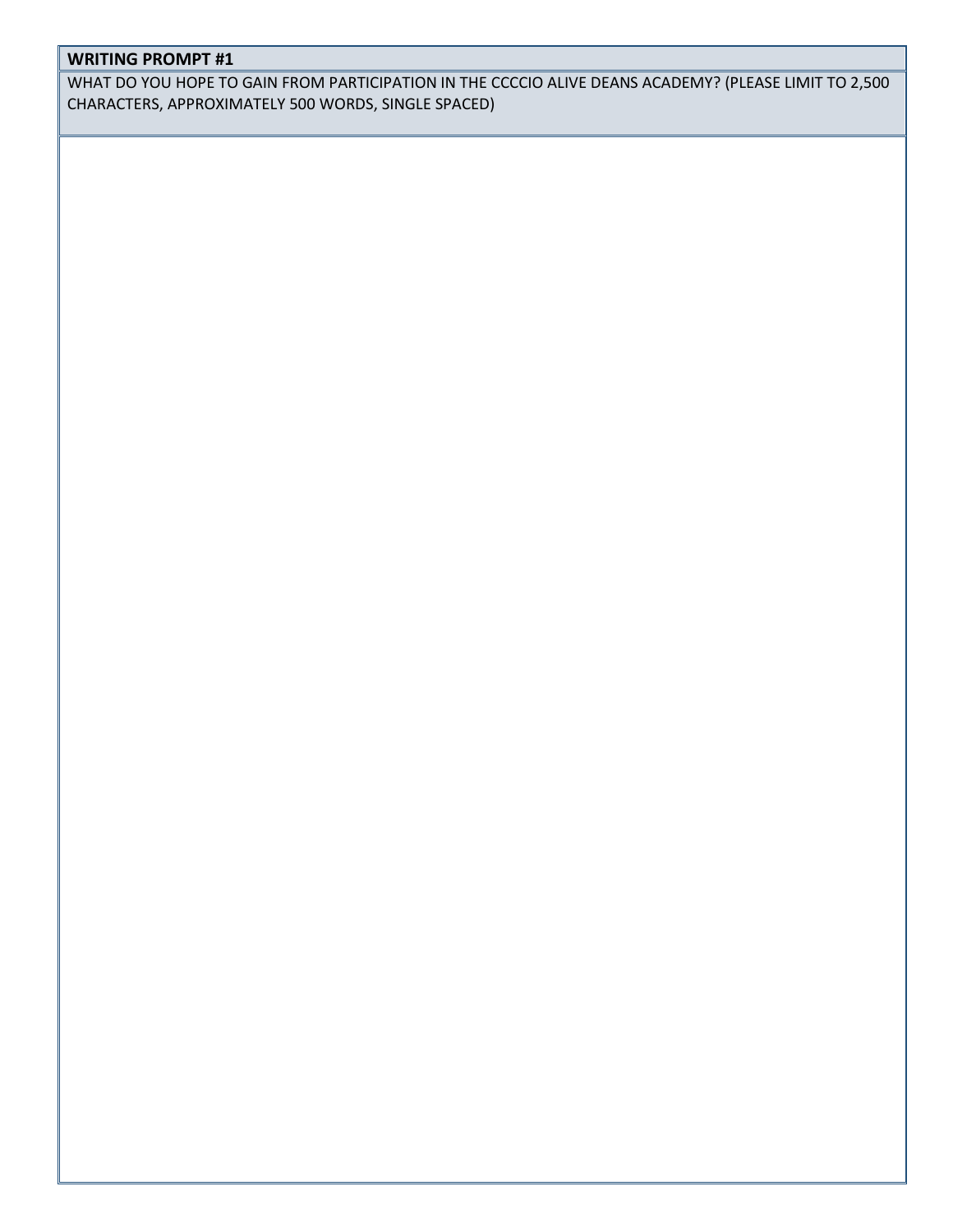### **WRITING PROMPT #1**

WHAT DO YOU HOPE TO GAIN FROM PARTICIPATION IN THE CCCCIO ALIVE DEANS ACADEMY? (PLEASE LIMIT TO 2,500 CHARACTERS, APPROXIMATELY 500 WORDS, SINGLE SPACED)